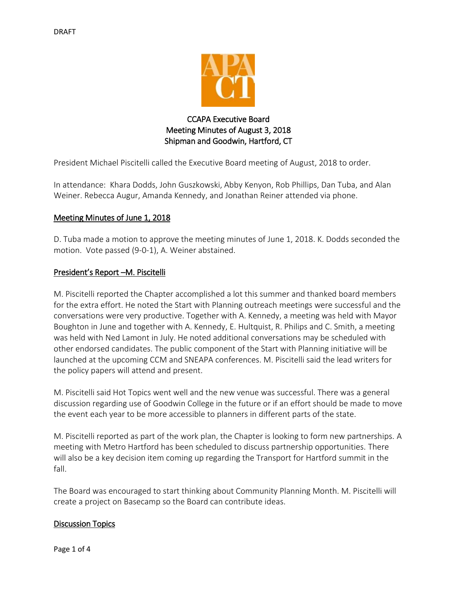

# CCAPA Executive Board Meeting Minutes of August 3, 2018 Shipman and Goodwin, Hartford, CT

President Michael Piscitelli called the Executive Board meeting of August, 2018 to order.

In attendance: Khara Dodds, John Guszkowski, Abby Kenyon, Rob Phillips, Dan Tuba, and Alan Weiner. Rebecca Augur, Amanda Kennedy, and Jonathan Reiner attended via phone.

## Meeting Minutes of June 1, 2018

D. Tuba made a motion to approve the meeting minutes of June 1, 2018. K. Dodds seconded the motion. Vote passed (9-0-1), A. Weiner abstained.

### President's Report –M. Piscitelli

M. Piscitelli reported the Chapter accomplished a lot this summer and thanked board members for the extra effort. He noted the Start with Planning outreach meetings were successful and the conversations were very productive. Together with A. Kennedy, a meeting was held with Mayor Boughton in June and together with A. Kennedy, E. Hultquist, R. Philips and C. Smith, a meeting was held with Ned Lamont in July. He noted additional conversations may be scheduled with other endorsed candidates. The public component of the Start with Planning initiative will be launched at the upcoming CCM and SNEAPA conferences. M. Piscitelli said the lead writers for the policy papers will attend and present.

M. Piscitelli said Hot Topics went well and the new venue was successful. There was a general discussion regarding use of Goodwin College in the future or if an effort should be made to move the event each year to be more accessible to planners in different parts of the state.

M. Piscitelli reported as part of the work plan, the Chapter is looking to form new partnerships. A meeting with Metro Hartford has been scheduled to discuss partnership opportunities. There will also be a key decision item coming up regarding the Transport for Hartford summit in the fall.

The Board was encouraged to start thinking about Community Planning Month. M. Piscitelli will create a project on Basecamp so the Board can contribute ideas.

### Discussion Topics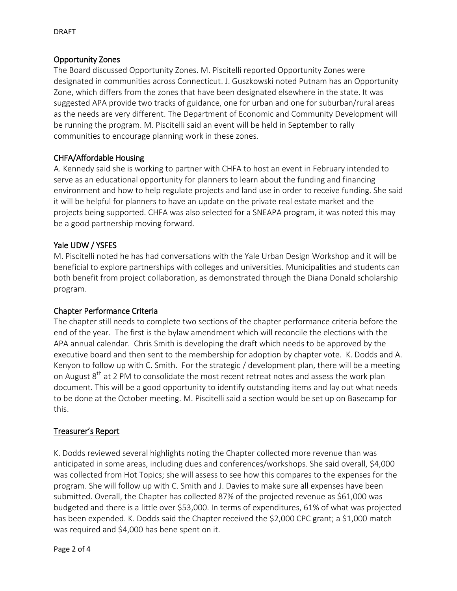### Opportunity Zones

The Board discussed Opportunity Zones. M. Piscitelli reported Opportunity Zones were designated in communities across Connecticut. J. Guszkowski noted Putnam has an Opportunity Zone, which differs from the zones that have been designated elsewhere in the state. It was suggested APA provide two tracks of guidance, one for urban and one for suburban/rural areas as the needs are very different. The Department of Economic and Community Development will be running the program. M. Piscitelli said an event will be held in September to rally communities to encourage planning work in these zones.

## CHFA/Affordable Housing

A. Kennedy said she is working to partner with CHFA to host an event in February intended to serve as an educational opportunity for planners to learn about the funding and financing environment and how to help regulate projects and land use in order to receive funding. She said it will be helpful for planners to have an update on the private real estate market and the projects being supported. CHFA was also selected for a SNEAPA program, it was noted this may be a good partnership moving forward.

## Yale UDW / YSFES

M. Piscitelli noted he has had conversations with the Yale Urban Design Workshop and it will be beneficial to explore partnerships with colleges and universities. Municipalities and students can both benefit from project collaboration, as demonstrated through the Diana Donald scholarship program.

### Chapter Performance Criteria

The chapter still needs to complete two sections of the chapter performance criteria before the end of the year. The first is the bylaw amendment which will reconcile the elections with the APA annual calendar. Chris Smith is developing the draft which needs to be approved by the executive board and then sent to the membership for adoption by chapter vote. K. Dodds and A. Kenyon to follow up with C. Smith. For the strategic / development plan, there will be a meeting on August 8<sup>th</sup> at 2 PM to consolidate the most recent retreat notes and assess the work plan document. This will be a good opportunity to identify outstanding items and lay out what needs to be done at the October meeting. M. Piscitelli said a section would be set up on Basecamp for this.

### Treasurer's Report

K. Dodds reviewed several highlights noting the Chapter collected more revenue than was anticipated in some areas, including dues and conferences/workshops. She said overall, \$4,000 was collected from Hot Topics; she will assess to see how this compares to the expenses for the program. She will follow up with C. Smith and J. Davies to make sure all expenses have been submitted. Overall, the Chapter has collected 87% of the projected revenue as \$61,000 was budgeted and there is a little over \$53,000. In terms of expenditures, 61% of what was projected has been expended. K. Dodds said the Chapter received the \$2,000 CPC grant; a \$1,000 match was required and \$4,000 has bene spent on it.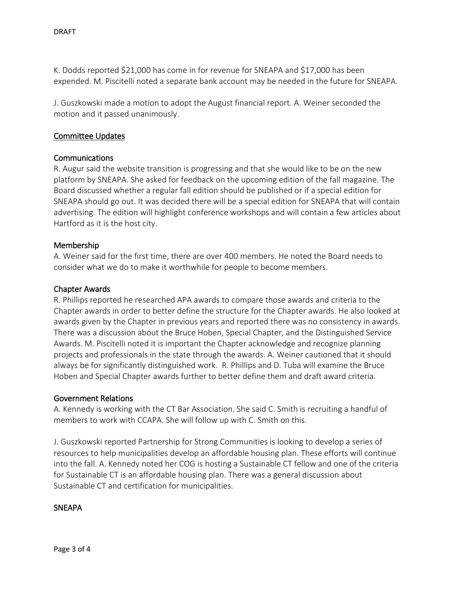K. Dodds reported \$21,000 has come in for revenue for SNEAPA and \$17,000 has been expended. M. Piscitelli noted a separate bank account may be needed in the future for SNEAPA.

J. Guszkowski made a motion to adopt the August financial report. A. Weiner seconded the motion and it passed unanimously.

#### Committee Updates

#### Communications

R. Augur said the website transition is progressing and that she would like to be on the new platform by SNEAPA. She asked for feedback on the upcoming edition of the fall magazine. The Board discussed whether a regular fall edition should be published or if a special edition for SNEAPA should go out. It was decided there will be a special edition for SNEAPA that will contain advertising. The edition will highlight conference workshops and will contain a few articles about Hartford as it is the host city.

#### Membership

A. Weiner said for the first time, there are over 400 members. He noted the Board needs to consider what we do to make it worthwhile for people to become members.

#### Chapter Awards

R. Phillips reported he researched APA awards to compare those awards and criteria to the Chapter awards in order to better define the structure for the Chapter awards. He also looked at awards given by the Chapter in previous years and reported there was no consistency in awards. There was a discussion about the Bruce Hoben, Special Chapter, and the Distinguished Service Awards. M. Piscitelli noted it is important the Chapter acknowledge and recognize planning projects and professionals in the state through the awards. A. Weiner cautioned that it should always be for significantly distinguished work. R. Phillips and D. Tuba will examine the Bruce Hoben and Special Chapter awards further to better define them and draft award criteria.

#### Government Relations

A. Kennedy is working with the CT Bar Association. She said C. Smith is recruiting a handful of members to work with CCAPA. She will follow up with C. Smith on this.

J. Guszkowski reported Partnership for Strong Communities is looking to develop a series of resources to help municipalities develop an affordable housing plan. These efforts will continue into the fall. A. Kennedy noted her COG is hosting a Sustainable CT fellow and one of the criteria for Sustainable CT is an affordable housing plan. There was a general discussion about Sustainable CT and certification for municipalities.

### **SNEAPA**